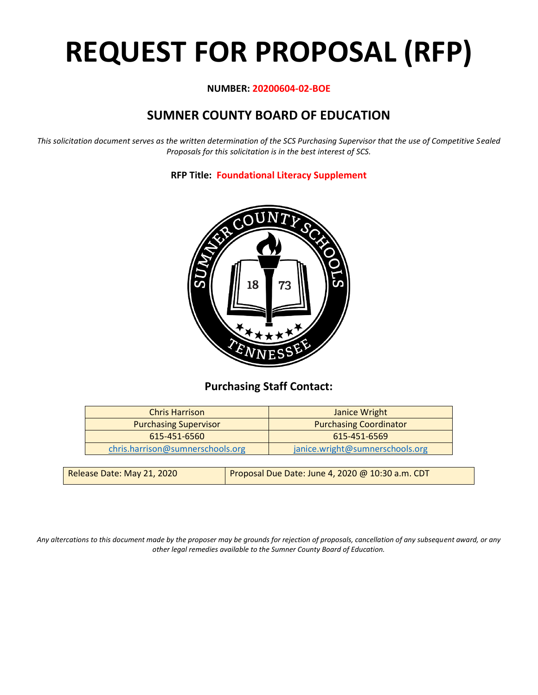# **REQUEST FOR PROPOSAL (RFP)**

#### **NUMBER: 20200604-02-BOE**

# **SUMNER COUNTY BOARD OF EDUCATION**

*This solicitation document serves as the written determination of the SCS Purchasing Supervisor that the use of Competitive Sealed Proposals for this solicitation is in the best interest of SCS.*

**RFP Title: Foundational Literacy Supplement**



## **Purchasing Staff Contact:**

| <b>Chris Harrison</b>            | <b>Janice Wright</b>            |
|----------------------------------|---------------------------------|
| <b>Purchasing Supervisor</b>     | <b>Purchasing Coordinator</b>   |
| 615-451-6560                     | 615-451-6569                    |
| chris.harrison@sumnerschools.org | janice.wright@sumnerschools.org |
|                                  |                                 |

| Release Date: May 21, 2020 | Proposal Due Date: June 4, 2020 @ 10:30 a.m. CDT |
|----------------------------|--------------------------------------------------|
|                            |                                                  |

*Any altercations to this document made by the proposer may be grounds for rejection of proposals, cancellation of any subsequent award, or any other legal remedies available to the Sumner County Board of Education.*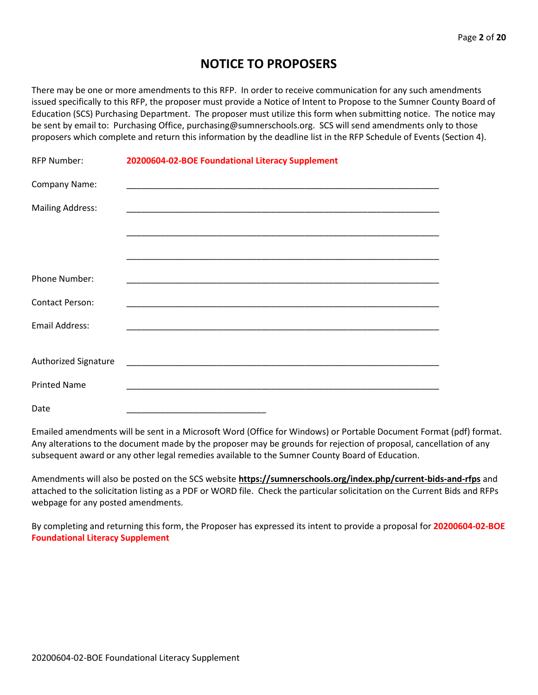## **NOTICE TO PROPOSERS**

There may be one or more amendments to this RFP. In order to receive communication for any such amendments issued specifically to this RFP, the proposer must provide a Notice of Intent to Propose to the Sumner County Board of Education (SCS) Purchasing Department. The proposer must utilize this form when submitting notice. The notice may be sent by email to: Purchasing Office, purchasing@sumnerschools.org. SCS will send amendments only to those proposers which complete and return this information by the deadline list in the RFP Schedule of Events (Section 4).

| <b>RFP Number:</b>      | 20200604-02-BOE Foundational Literacy Supplement |  |
|-------------------------|--------------------------------------------------|--|
| Company Name:           |                                                  |  |
| <b>Mailing Address:</b> |                                                  |  |
|                         |                                                  |  |
|                         |                                                  |  |
| Phone Number:           |                                                  |  |
| <b>Contact Person:</b>  |                                                  |  |
| Email Address:          |                                                  |  |
|                         |                                                  |  |
| Authorized Signature    |                                                  |  |
| <b>Printed Name</b>     |                                                  |  |
| Date                    |                                                  |  |

Emailed amendments will be sent in a Microsoft Word (Office for Windows) or Portable Document Format (pdf) format. Any alterations to the document made by the proposer may be grounds for rejection of proposal, cancellation of any subsequent award or any other legal remedies available to the Sumner County Board of Education.

Amendments will also be posted on the SCS website **https://sumnerschools.org/index.php/current-bids-and-rfps** and attached to the solicitation listing as a PDF or WORD file. Check the particular solicitation on the Current Bids and RFPs webpage for any posted amendments.

By completing and returning this form, the Proposer has expressed its intent to provide a proposal for **20200604-02-BOE Foundational Literacy Supplement**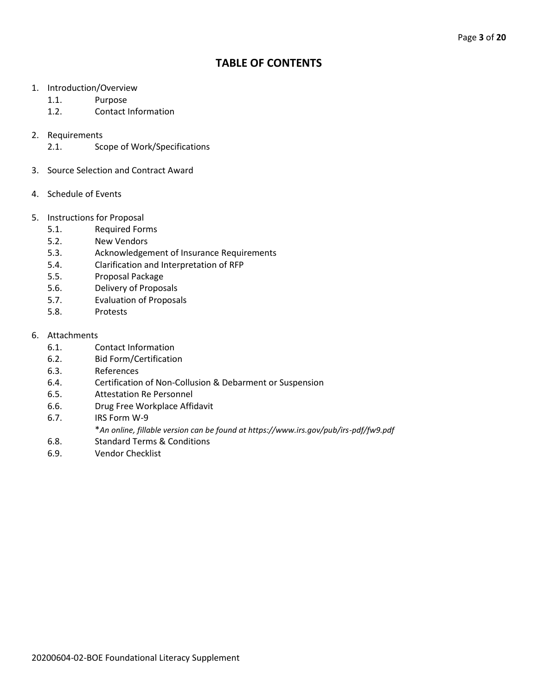## **TABLE OF CONTENTS**

- 1. Introduction/Overview
	- 1.1. Purpose
	- 1.2. Contact Information
- 2. Requirements
	- 2.1. Scope of Work/Specifications
- 3. Source Selection and Contract Award
- 4. Schedule of Events
- 5. Instructions for Proposal
	- 5.1. Required Forms
	- 5.2. New Vendors
	- 5.3. Acknowledgement of Insurance Requirements
	- 5.4. Clarification and Interpretation of RFP
	- 5.5. Proposal Package
	- 5.6. Delivery of Proposals
	- 5.7. Evaluation of Proposals
	- 5.8. Protests

#### 6. Attachments

- 6.1. Contact Information
- 6.2. Bid Form/Certification
- 6.3. References
- 6.4. Certification of Non-Collusion & Debarment or Suspension
- 6.5. Attestation Re Personnel
- 6.6. Drug Free Workplace Affidavit
- 6.7. IRS Form W-9
	- \**An online, fillable version can be found at https://www.irs.gov/pub/irs-pdf/fw9.pdf*
- 6.8. Standard Terms & Conditions
- 6.9. Vendor Checklist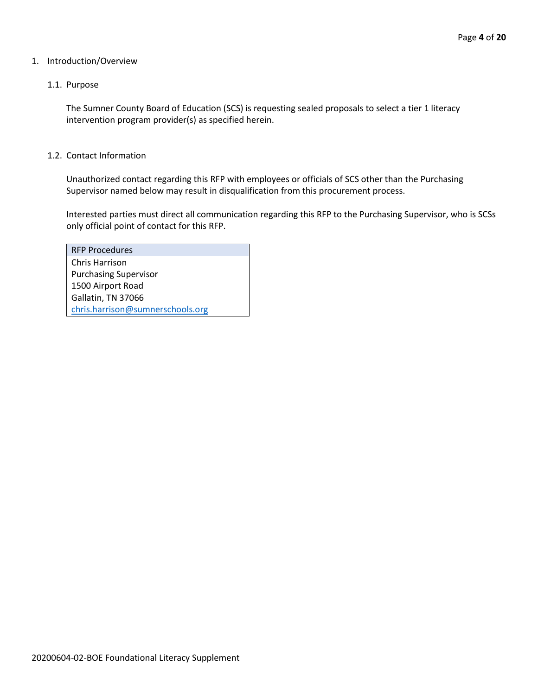#### 1. Introduction/Overview

#### 1.1. Purpose

The Sumner County Board of Education (SCS) is requesting sealed proposals to select a tier 1 literacy intervention program provider(s) as specified herein.

#### 1.2. Contact Information

Unauthorized contact regarding this RFP with employees or officials of SCS other than the Purchasing Supervisor named below may result in disqualification from this procurement process.

Interested parties must direct all communication regarding this RFP to the Purchasing Supervisor, who is SCSs only official point of contact for this RFP.

| <b>RFP Procedures</b>            |
|----------------------------------|
| Chris Harrison                   |
| <b>Purchasing Supervisor</b>     |
| 1500 Airport Road                |
| Gallatin, TN 37066               |
| chris.harrison@sumnerschools.org |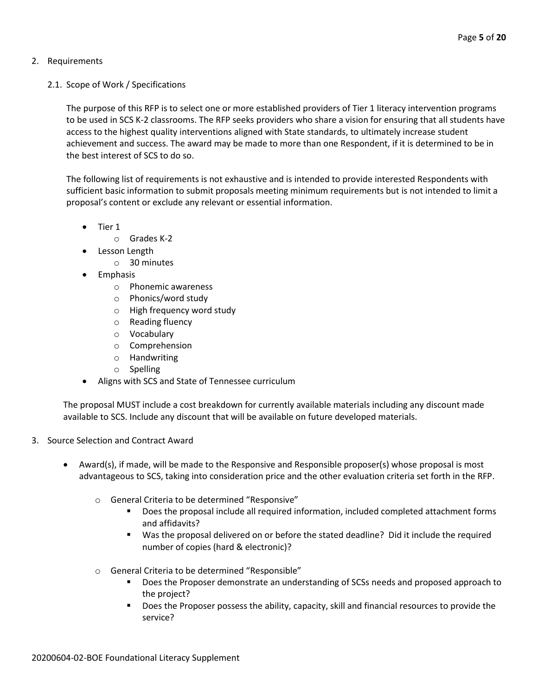#### 2. Requirements

2.1. Scope of Work / Specifications

The purpose of this RFP is to select one or more established providers of Tier 1 literacy intervention programs to be used in SCS K-2 classrooms. The RFP seeks providers who share a vision for ensuring that all students have access to the highest quality interventions aligned with State standards, to ultimately increase student achievement and success. The award may be made to more than one Respondent, if it is determined to be in the best interest of SCS to do so.

The following list of requirements is not exhaustive and is intended to provide interested Respondents with sufficient basic information to submit proposals meeting minimum requirements but is not intended to limit a proposal's content or exclude any relevant or essential information.

- Tier 1
	- o Grades K-2
- Lesson Length
	- o 30 minutes
- Emphasis
	- o Phonemic awareness
	- o Phonics/word study
	- o High frequency word study
	- o Reading fluency
	- o Vocabulary
	- o Comprehension
	- o Handwriting
	- o Spelling
- Aligns with SCS and State of Tennessee curriculum

The proposal MUST include a cost breakdown for currently available materials including any discount made available to SCS. Include any discount that will be available on future developed materials.

- 3. Source Selection and Contract Award
	- Award(s), if made, will be made to the Responsive and Responsible proposer(s) whose proposal is most advantageous to SCS, taking into consideration price and the other evaluation criteria set forth in the RFP.
		- o General Criteria to be determined "Responsive"
			- Does the proposal include all required information, included completed attachment forms and affidavits?
			- Was the proposal delivered on or before the stated deadline? Did it include the required number of copies (hard & electronic)?
		- o General Criteria to be determined "Responsible"
			- Does the Proposer demonstrate an understanding of SCSs needs and proposed approach to the project?
			- Does the Proposer possess the ability, capacity, skill and financial resources to provide the service?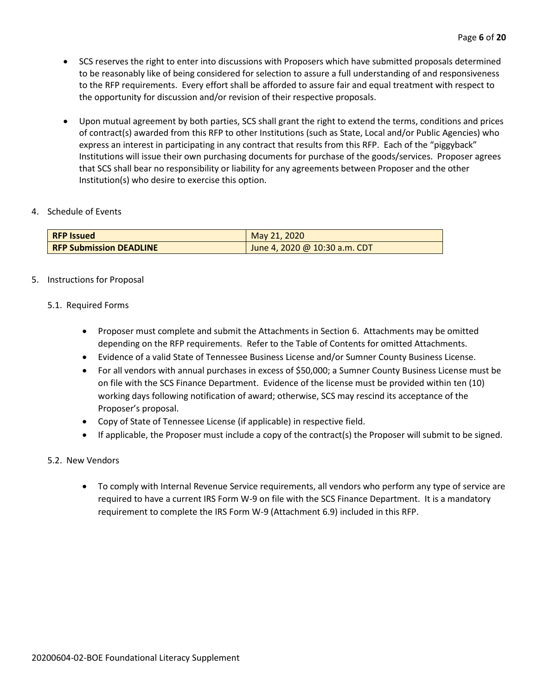- SCS reserves the right to enter into discussions with Proposers which have submitted proposals determined to be reasonably like of being considered for selection to assure a full understanding of and responsiveness to the RFP requirements. Every effort shall be afforded to assure fair and equal treatment with respect to the opportunity for discussion and/or revision of their respective proposals.
- Upon mutual agreement by both parties, SCS shall grant the right to extend the terms, conditions and prices of contract(s) awarded from this RFP to other Institutions (such as State, Local and/or Public Agencies) who express an interest in participating in any contract that results from this RFP. Each of the "piggyback" Institutions will issue their own purchasing documents for purchase of the goods/services. Proposer agrees that SCS shall bear no responsibility or liability for any agreements between Proposer and the other Institution(s) who desire to exercise this option.

#### 4. Schedule of Events

| <b>RFP Issued</b>              | May 21, 2020                  |
|--------------------------------|-------------------------------|
| <b>RFP Submission DEADLINE</b> | June 4, 2020 @ 10:30 a.m. CDT |

#### 5. Instructions for Proposal

#### 5.1. Required Forms

- Proposer must complete and submit the Attachments in Section 6. Attachments may be omitted depending on the RFP requirements. Refer to the Table of Contents for omitted Attachments.
- Evidence of a valid State of Tennessee Business License and/or Sumner County Business License.
- For all vendors with annual purchases in excess of \$50,000; a Sumner County Business License must be on file with the SCS Finance Department. Evidence of the license must be provided within ten (10) working days following notification of award; otherwise, SCS may rescind its acceptance of the Proposer's proposal.
- Copy of State of Tennessee License (if applicable) in respective field.
- If applicable, the Proposer must include a copy of the contract(s) the Proposer will submit to be signed.

#### 5.2. New Vendors

• To comply with Internal Revenue Service requirements, all vendors who perform any type of service are required to have a current IRS Form W-9 on file with the SCS Finance Department. It is a mandatory requirement to complete the IRS Form W-9 (Attachment 6.9) included in this RFP.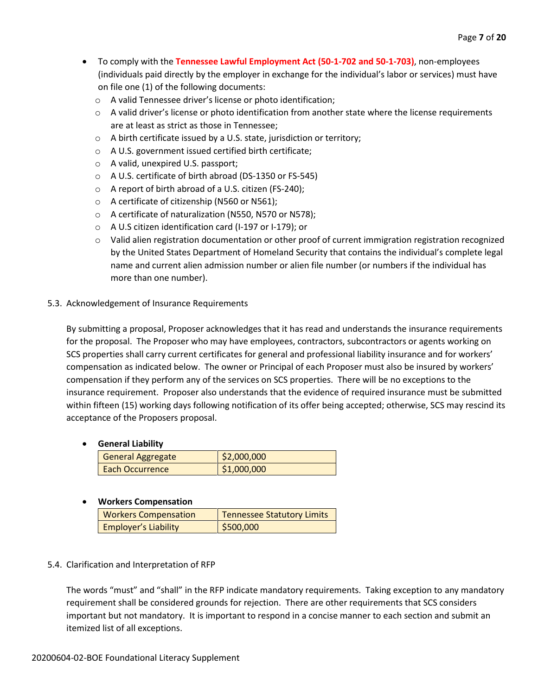- To comply with the **Tennessee Lawful Employment Act (50-1-702 and 50-1-703)**, non-employees (individuals paid directly by the employer in exchange for the individual's labor or services) must have on file one (1) of the following documents:
	- o A valid Tennessee driver's license or photo identification;
	- $\circ$  A valid driver's license or photo identification from another state where the license requirements are at least as strict as those in Tennessee;
	- o A birth certificate issued by a U.S. state, jurisdiction or territory;
	- o A U.S. government issued certified birth certificate;
	- o A valid, unexpired U.S. passport;
	- o A U.S. certificate of birth abroad (DS-1350 or FS-545)
	- o A report of birth abroad of a U.S. citizen (FS-240);
	- o A certificate of citizenship (N560 or N561);
	- o A certificate of naturalization (N550, N570 or N578);
	- o A U.S citizen identification card (I-197 or I-179); or
	- o Valid alien registration documentation or other proof of current immigration registration recognized by the United States Department of Homeland Security that contains the individual's complete legal name and current alien admission number or alien file number (or numbers if the individual has more than one number).

#### 5.3. Acknowledgement of Insurance Requirements

By submitting a proposal, Proposer acknowledges that it has read and understands the insurance requirements for the proposal. The Proposer who may have employees, contractors, subcontractors or agents working on SCS properties shall carry current certificates for general and professional liability insurance and for workers' compensation as indicated below. The owner or Principal of each Proposer must also be insured by workers' compensation if they perform any of the services on SCS properties. There will be no exceptions to the insurance requirement. Proposer also understands that the evidence of required insurance must be submitted within fifteen (15) working days following notification of its offer being accepted; otherwise, SCS may rescind its acceptance of the Proposers proposal.

#### • **General Liability**

| <b>General Aggregate</b> | \$2,000,000 |
|--------------------------|-------------|
| Each Occurrence          | \$1,000,000 |
|                          |             |

#### • **Workers Compensation**

| <b>Workers Compensation</b> | Tennessee Statutory Limits |
|-----------------------------|----------------------------|
| <b>Employer's Liability</b> | \$500,000                  |

#### 5.4. Clarification and Interpretation of RFP

The words "must" and "shall" in the RFP indicate mandatory requirements. Taking exception to any mandatory requirement shall be considered grounds for rejection. There are other requirements that SCS considers important but not mandatory. It is important to respond in a concise manner to each section and submit an itemized list of all exceptions.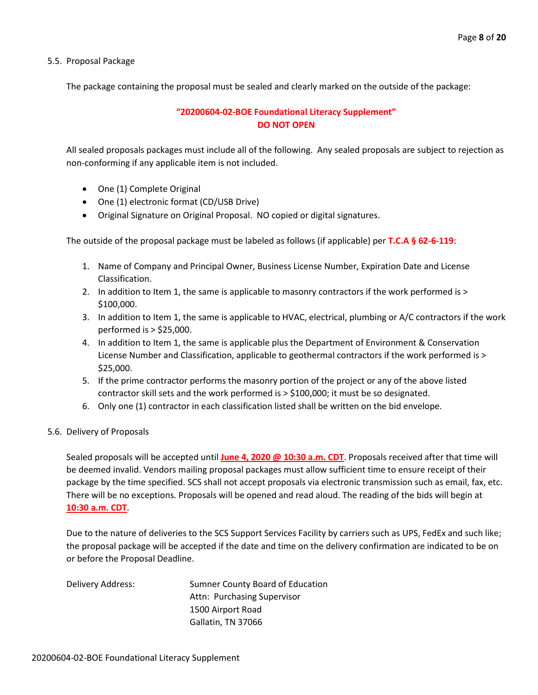5.5. Proposal Package

The package containing the proposal must be sealed and clearly marked on the outside of the package:

#### **"20200604-02-BOE Foundational Literacy Supplement" DO NOT OPEN**

All sealed proposals packages must include all of the following. Any sealed proposals are subject to rejection as non-conforming if any applicable item is not included.

- One (1) Complete Original
- One (1) electronic format (CD/USB Drive)
- Original Signature on Original Proposal. NO copied or digital signatures.

The outside of the proposal package must be labeled as follows (if applicable) per **T.C.A § 62-6-119**:

- 1. Name of Company and Principal Owner, Business License Number, Expiration Date and License Classification.
- 2. In addition to Item 1, the same is applicable to masonry contractors if the work performed is > \$100,000.
- 3. In addition to Item 1, the same is applicable to HVAC, electrical, plumbing or A/C contractors if the work performed is > \$25,000.
- 4. In addition to Item 1, the same is applicable plus the Department of Environment & Conservation License Number and Classification, applicable to geothermal contractors if the work performed is > \$25,000.
- 5. If the prime contractor performs the masonry portion of the project or any of the above listed contractor skill sets and the work performed is > \$100,000; it must be so designated.
- 6. Only one (1) contractor in each classification listed shall be written on the bid envelope.
- 5.6. Delivery of Proposals

Sealed proposals will be accepted until **June 4, 2020 @ 10:30 a.m. CDT**. Proposals received after that time will be deemed invalid. Vendors mailing proposal packages must allow sufficient time to ensure receipt of their package by the time specified. SCS shall not accept proposals via electronic transmission such as email, fax, etc. There will be no exceptions. Proposals will be opened and read aloud. The reading of the bids will begin at **10:30 a.m. CDT**.

Due to the nature of deliveries to the SCS Support Services Facility by carriers such as UPS, FedEx and such like; the proposal package will be accepted if the date and time on the delivery confirmation are indicated to be on or before the Proposal Deadline.

| Delivery Address: | Sumner County Board of Education |
|-------------------|----------------------------------|
|                   | Attn: Purchasing Supervisor      |
|                   | 1500 Airport Road                |
|                   | Gallatin, TN 37066               |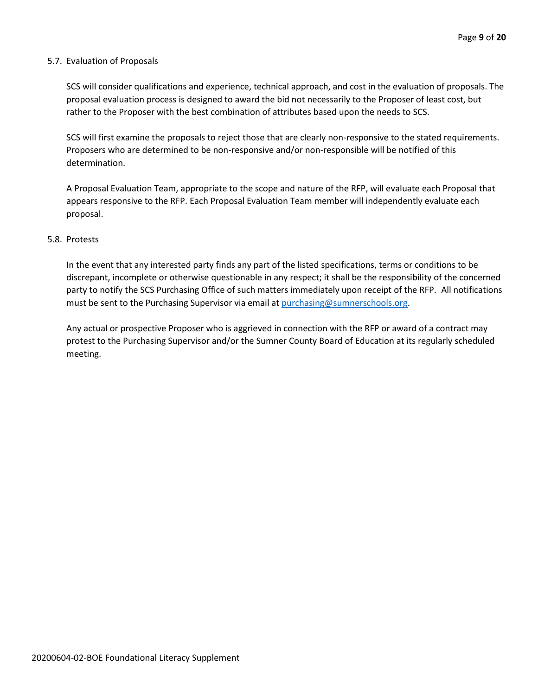#### 5.7. Evaluation of Proposals

SCS will consider qualifications and experience, technical approach, and cost in the evaluation of proposals. The proposal evaluation process is designed to award the bid not necessarily to the Proposer of least cost, but rather to the Proposer with the best combination of attributes based upon the needs to SCS.

SCS will first examine the proposals to reject those that are clearly non-responsive to the stated requirements. Proposers who are determined to be non-responsive and/or non-responsible will be notified of this determination.

A Proposal Evaluation Team, appropriate to the scope and nature of the RFP, will evaluate each Proposal that appears responsive to the RFP. Each Proposal Evaluation Team member will independently evaluate each proposal.

#### 5.8. Protests

In the event that any interested party finds any part of the listed specifications, terms or conditions to be discrepant, incomplete or otherwise questionable in any respect; it shall be the responsibility of the concerned party to notify the SCS Purchasing Office of such matters immediately upon receipt of the RFP. All notifications must be sent to the Purchasing Supervisor via email at [purchasing@sumnerschools.org.](mailto:purchasing@sumnerschools.org)

Any actual or prospective Proposer who is aggrieved in connection with the RFP or award of a contract may protest to the Purchasing Supervisor and/or the Sumner County Board of Education at its regularly scheduled meeting.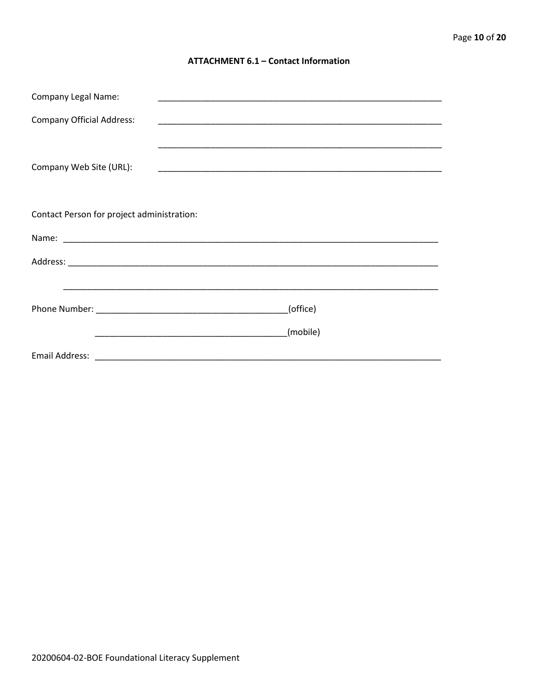#### **ATTACHMENT 6.1 - Contact Information**

| <b>Company Legal Name:</b>                 |          |
|--------------------------------------------|----------|
| <b>Company Official Address:</b>           |          |
|                                            |          |
| Company Web Site (URL):                    |          |
|                                            |          |
|                                            |          |
| Contact Person for project administration: |          |
|                                            |          |
|                                            |          |
|                                            |          |
|                                            | (office) |
|                                            |          |
|                                            | (mobile) |
|                                            |          |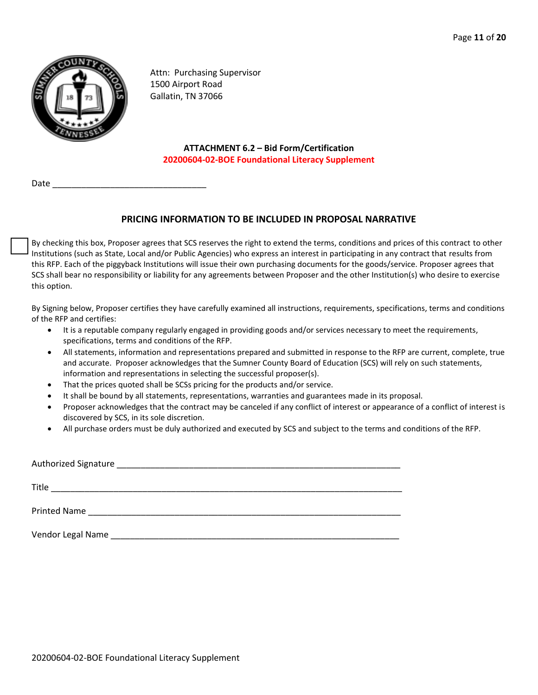

Attn: Purchasing Supervisor 1500 Airport Road Gallatin, TN 37066

**ATTACHMENT 6.2 – Bid Form/Certification 20200604-02-BOE Foundational Literacy Supplement**

Date

#### **PRICING INFORMATION TO BE INCLUDED IN PROPOSAL NARRATIVE**

By checking this box, Proposer agrees that SCS reserves the right to extend the terms, conditions and prices of this contract to other Institutions (such as State, Local and/or Public Agencies) who express an interest in participating in any contract that results from this RFP. Each of the piggyback Institutions will issue their own purchasing documents for the goods/service. Proposer agrees that SCS shall bear no responsibility or liability for any agreements between Proposer and the other Institution(s) who desire to exercise this option.

By Signing below, Proposer certifies they have carefully examined all instructions, requirements, specifications, terms and conditions of the RFP and certifies:

- It is a reputable company regularly engaged in providing goods and/or services necessary to meet the requirements, specifications, terms and conditions of the RFP.
- All statements, information and representations prepared and submitted in response to the RFP are current, complete, true and accurate. Proposer acknowledges that the Sumner County Board of Education (SCS) will rely on such statements, information and representations in selecting the successful proposer(s).
- That the prices quoted shall be SCSs pricing for the products and/or service.
- It shall be bound by all statements, representations, warranties and guarantees made in its proposal.
- Proposer acknowledges that the contract may be canceled if any conflict of interest or appearance of a conflict of interest is discovered by SCS, in its sole discretion.
- All purchase orders must be duly authorized and executed by SCS and subject to the terms and conditions of the RFP.

| Title               |                                                                |  |  |
|---------------------|----------------------------------------------------------------|--|--|
| <b>Printed Name</b> | <u> 1980 - Jan Sterling, Amerikaansk konstantiner (* 1908)</u> |  |  |
| Vendor Legal Name   |                                                                |  |  |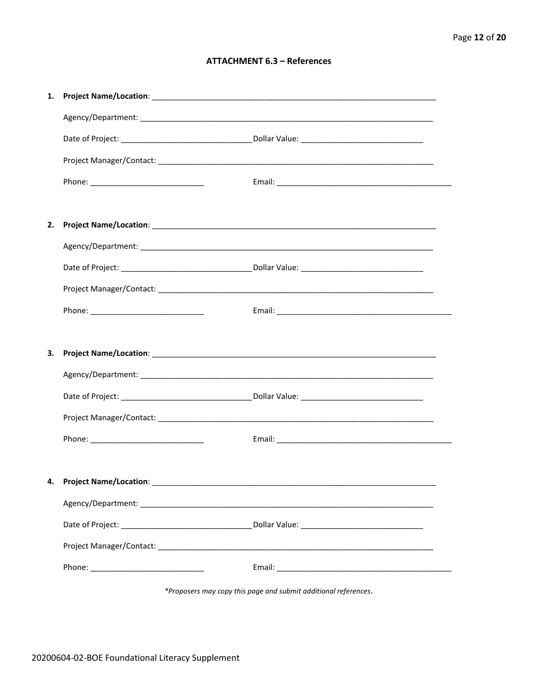#### **ATTACHMENT 6.3 - References**

| 1. |                                     |  |
|----|-------------------------------------|--|
|    |                                     |  |
|    |                                     |  |
|    |                                     |  |
|    |                                     |  |
|    |                                     |  |
| 2. |                                     |  |
|    |                                     |  |
|    |                                     |  |
|    |                                     |  |
|    |                                     |  |
|    |                                     |  |
|    |                                     |  |
| 3. |                                     |  |
|    |                                     |  |
|    |                                     |  |
|    |                                     |  |
|    |                                     |  |
|    |                                     |  |
|    | 4. Project Name/Location: _________ |  |
|    |                                     |  |
|    |                                     |  |
|    |                                     |  |

\*Proposers may copy this page and submit additional references.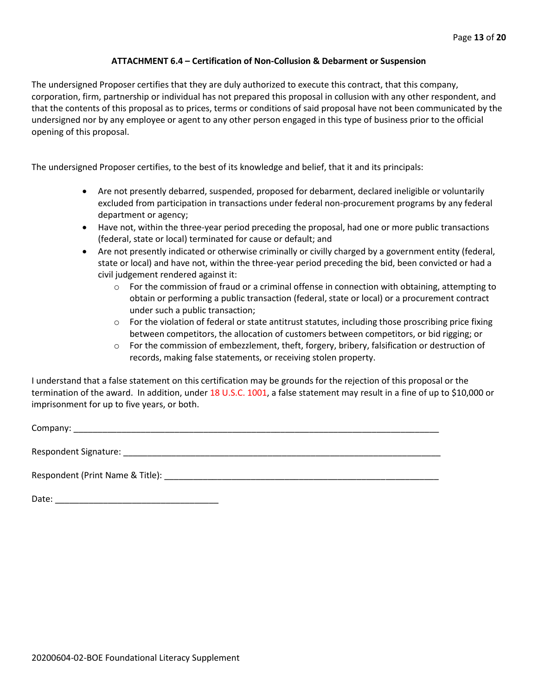#### **ATTACHMENT 6.4 – Certification of Non-Collusion & Debarment or Suspension**

The undersigned Proposer certifies that they are duly authorized to execute this contract, that this company, corporation, firm, partnership or individual has not prepared this proposal in collusion with any other respondent, and that the contents of this proposal as to prices, terms or conditions of said proposal have not been communicated by the undersigned nor by any employee or agent to any other person engaged in this type of business prior to the official opening of this proposal.

The undersigned Proposer certifies, to the best of its knowledge and belief, that it and its principals:

- Are not presently debarred, suspended, proposed for debarment, declared ineligible or voluntarily excluded from participation in transactions under federal non-procurement programs by any federal department or agency;
- Have not, within the three-year period preceding the proposal, had one or more public transactions (federal, state or local) terminated for cause or default; and
- Are not presently indicated or otherwise criminally or civilly charged by a government entity (federal, state or local) and have not, within the three-year period preceding the bid, been convicted or had a civil judgement rendered against it:
	- $\circ$  For the commission of fraud or a criminal offense in connection with obtaining, attempting to obtain or performing a public transaction (federal, state or local) or a procurement contract under such a public transaction;
	- $\circ$  For the violation of federal or state antitrust statutes, including those proscribing price fixing between competitors, the allocation of customers between competitors, or bid rigging; or
	- o For the commission of embezzlement, theft, forgery, bribery, falsification or destruction of records, making false statements, or receiving stolen property.

I understand that a false statement on this certification may be grounds for the rejection of this proposal or the termination of the award. In addition, under 18 U.S.C. 1001, a false statement may result in a fine of up to \$10,000 or imprisonment for up to five years, or both.

Company: \_\_\_\_\_\_\_\_\_\_\_\_\_\_\_\_\_\_\_\_\_\_\_\_\_\_\_\_\_\_\_\_\_\_\_\_\_\_\_\_\_\_\_\_\_\_\_\_\_\_\_\_\_\_\_\_\_\_\_\_\_\_\_\_\_\_\_\_\_\_\_\_\_\_\_\_

Respondent Signature: \_\_\_\_\_\_\_\_\_\_\_\_\_\_\_\_\_\_\_\_\_\_\_\_\_\_\_\_\_\_\_\_\_\_\_\_\_\_\_\_\_\_\_\_\_\_\_\_\_\_\_\_\_\_\_\_\_\_\_\_\_\_\_\_\_\_

Respondent (Print Name & Title): \_\_\_\_\_\_\_\_\_\_\_\_\_\_\_\_\_\_\_\_\_\_\_\_\_\_\_\_\_\_\_\_\_\_\_\_\_\_\_\_\_\_\_\_\_\_\_\_\_\_\_\_\_\_\_\_\_

Date: \_\_\_\_\_\_\_\_\_\_\_\_\_\_\_\_\_\_\_\_\_\_\_\_\_\_\_\_\_\_\_\_\_\_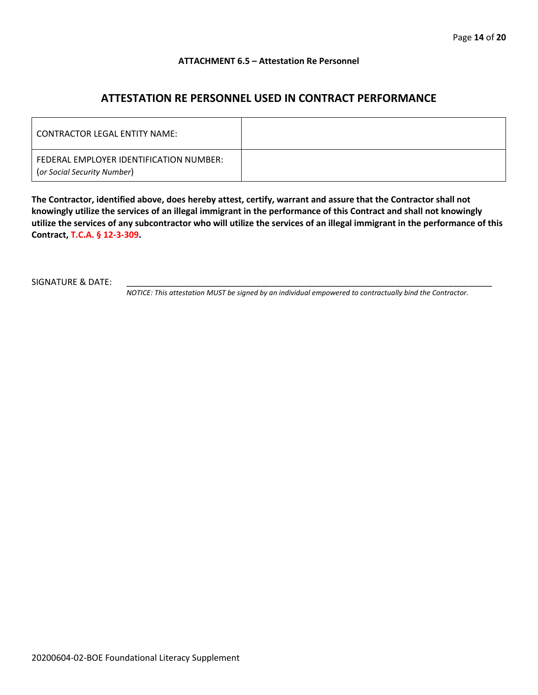#### **ATTACHMENT 6.5 – Attestation Re Personnel**

### **ATTESTATION RE PERSONNEL USED IN CONTRACT PERFORMANCE**

| CONTRACTOR LEGAL ENTITY NAME:                                          |  |
|------------------------------------------------------------------------|--|
| FEDERAL EMPLOYER IDENTIFICATION NUMBER:<br>(or Social Security Number) |  |

**The Contractor, identified above, does hereby attest, certify, warrant and assure that the Contractor shall not knowingly utilize the services of an illegal immigrant in the performance of this Contract and shall not knowingly utilize the services of any subcontractor who will utilize the services of an illegal immigrant in the performance of this Contract, T.C.A. § 12-3-309.**

SIGNATURE & DATE:

*NOTICE: This attestation MUST be signed by an individual empowered to contractually bind the Contractor.*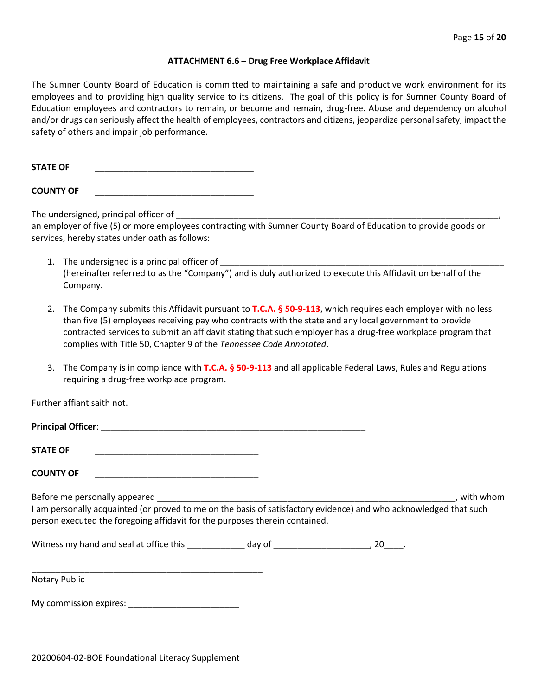#### **ATTACHMENT 6.6 – Drug Free Workplace Affidavit**

The Sumner County Board of Education is committed to maintaining a safe and productive work environment for its employees and to providing high quality service to its citizens. The goal of this policy is for Sumner County Board of Education employees and contractors to remain, or become and remain, drug-free. Abuse and dependency on alcohol and/or drugs can seriously affect the health of employees, contractors and citizens, jeopardize personal safety, impact the safety of others and impair job performance.

STATE OF

**COUNTY OF** \_\_\_\_\_\_\_\_\_\_\_\_\_\_\_\_\_\_\_\_\_\_\_\_\_\_\_\_\_\_\_\_\_

The undersigned, principal officer of

an employer of five (5) or more employees contracting with Sumner County Board of Education to provide goods or services, hereby states under oath as follows:

- 1. The undersigned is a principal officer of (hereinafter referred to as the "Company") and is duly authorized to execute this Affidavit on behalf of the Company.
- 2. The Company submits this Affidavit pursuant to **T.C.A. § 50-9-113**, which requires each employer with no less than five (5) employees receiving pay who contracts with the state and any local government to provide contracted services to submit an affidavit stating that such employer has a drug-free workplace program that complies with Title 50, Chapter 9 of the *Tennessee Code Annotated*.
- 3. The Company is in compliance with **T.C.A. § 50-9-113** and all applicable Federal Laws, Rules and Regulations requiring a drug-free workplace program.

Further affiant saith not.

| Principal Officer: |  |
|--------------------|--|
|                    |  |
| <b>STATE OF</b>    |  |

**COUNTY OF** \_\_\_\_\_\_\_\_\_\_\_\_\_\_\_\_\_\_\_\_\_\_\_\_\_\_\_\_\_\_\_\_\_\_

Before me personally appeared \_\_\_\_\_\_\_\_\_\_\_\_\_\_\_\_\_\_\_\_\_\_\_\_\_\_\_\_\_\_\_\_\_\_\_\_\_\_\_\_\_\_\_\_\_\_\_\_\_\_\_\_\_\_\_\_\_\_\_\_\_\_, with whom I am personally acquainted (or proved to me on the basis of satisfactory evidence) and who acknowledged that such person executed the foregoing affidavit for the purposes therein contained.

Witness my hand and seal at office this \_\_\_\_\_\_\_\_\_\_\_\_\_ day of \_\_\_\_\_\_\_\_\_\_\_\_\_\_\_\_\_\_\_\_, 20\_\_\_\_.

\_\_\_\_\_\_\_\_\_\_\_\_\_\_\_\_\_\_\_\_\_\_\_\_\_\_\_\_\_\_\_\_\_\_\_\_\_\_\_\_\_\_\_\_\_\_\_\_ Notary Public

My commission expires: \_\_\_\_\_\_\_\_\_\_\_\_\_\_\_\_\_\_\_\_\_\_\_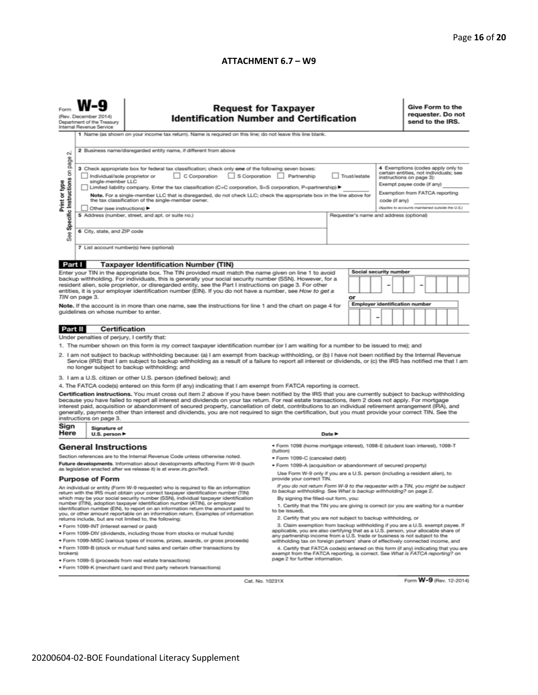#### **ATTACHMENT 6.7 – W9**

| (Rev. December 2014)<br>Department of the Treasury<br>Internal Revenue Service                                                                                                                                                                                                                                                                                                                                                                                                              |                                                                                                                                                                                                                                                                                                                                                                                                                                                                                                                                        | <b>Request for Taxpayer</b><br><b>Identification Number and Certification</b><br>1 Name (as shown on your income tax return). Name is required on this line; do not leave this line blank.                                                                                                                                                                                                                                                                                                                                                                                                                                    |                                                                                                                                                                                                                                                        |  |                                       |   |  |                                                                                                                                                                         |                                                                                              | Give Form to the<br>requester. Do not<br>send to the IRS. |  |  |  |  |
|---------------------------------------------------------------------------------------------------------------------------------------------------------------------------------------------------------------------------------------------------------------------------------------------------------------------------------------------------------------------------------------------------------------------------------------------------------------------------------------------|----------------------------------------------------------------------------------------------------------------------------------------------------------------------------------------------------------------------------------------------------------------------------------------------------------------------------------------------------------------------------------------------------------------------------------------------------------------------------------------------------------------------------------------|-------------------------------------------------------------------------------------------------------------------------------------------------------------------------------------------------------------------------------------------------------------------------------------------------------------------------------------------------------------------------------------------------------------------------------------------------------------------------------------------------------------------------------------------------------------------------------------------------------------------------------|--------------------------------------------------------------------------------------------------------------------------------------------------------------------------------------------------------------------------------------------------------|--|---------------------------------------|---|--|-------------------------------------------------------------------------------------------------------------------------------------------------------------------------|----------------------------------------------------------------------------------------------|-----------------------------------------------------------|--|--|--|--|
| N<br>page                                                                                                                                                                                                                                                                                                                                                                                                                                                                                   | 2 Business name/disregarded entity name, if different from above                                                                                                                                                                                                                                                                                                                                                                                                                                                                       |                                                                                                                                                                                                                                                                                                                                                                                                                                                                                                                                                                                                                               |                                                                                                                                                                                                                                                        |  |                                       |   |  |                                                                                                                                                                         |                                                                                              |                                                           |  |  |  |  |
| Specific Instructions on<br>Print or type                                                                                                                                                                                                                                                                                                                                                                                                                                                   | 3 Check appropriate box for federal tax classification; check only one of the following seven boxes:<br>S Corporation Partnership<br>C Corporation<br>Trust/estate<br>Individual/sole proprietor or<br>single-member LLC<br>Limited liability company. Enter the tax classification (C=C corporation, S=S corporation, P=partnership) ▶<br>Note. For a single-member LLC that is disregarded, do not check LLC; check the appropriate box in the line above for<br>the tax classification of the single-member owner.<br>code (if any) |                                                                                                                                                                                                                                                                                                                                                                                                                                                                                                                                                                                                                               |                                                                                                                                                                                                                                                        |  |                                       |   |  | 4 Exemptions (codes apply only to<br>certain entities, not individuals; see<br>instructions on page 3):<br>Exempt payee code (if any)<br>Exemption from FATCA reporting |                                                                                              |                                                           |  |  |  |  |
|                                                                                                                                                                                                                                                                                                                                                                                                                                                                                             |                                                                                                                                                                                                                                                                                                                                                                                                                                                                                                                                        | Other (see instructions) ▶<br>5 Address (number, street, and apt. or suite no.)                                                                                                                                                                                                                                                                                                                                                                                                                                                                                                                                               |                                                                                                                                                                                                                                                        |  |                                       |   |  |                                                                                                                                                                         | (Applies to accounts maintained outside the U.S.)<br>Requester's name and address (optional) |                                                           |  |  |  |  |
| See                                                                                                                                                                                                                                                                                                                                                                                                                                                                                         | 6 City, state, and ZIP code                                                                                                                                                                                                                                                                                                                                                                                                                                                                                                            |                                                                                                                                                                                                                                                                                                                                                                                                                                                                                                                                                                                                                               |                                                                                                                                                                                                                                                        |  |                                       |   |  |                                                                                                                                                                         |                                                                                              |                                                           |  |  |  |  |
|                                                                                                                                                                                                                                                                                                                                                                                                                                                                                             | 7 List account number(s) here (optional)                                                                                                                                                                                                                                                                                                                                                                                                                                                                                               |                                                                                                                                                                                                                                                                                                                                                                                                                                                                                                                                                                                                                               |                                                                                                                                                                                                                                                        |  |                                       |   |  |                                                                                                                                                                         |                                                                                              |                                                           |  |  |  |  |
| Part I                                                                                                                                                                                                                                                                                                                                                                                                                                                                                      |                                                                                                                                                                                                                                                                                                                                                                                                                                                                                                                                        | <b>Taxpayer Identification Number (TIN)</b>                                                                                                                                                                                                                                                                                                                                                                                                                                                                                                                                                                                   |                                                                                                                                                                                                                                                        |  |                                       |   |  |                                                                                                                                                                         |                                                                                              |                                                           |  |  |  |  |
|                                                                                                                                                                                                                                                                                                                                                                                                                                                                                             | TIN on page 3.<br>quidelines on whose number to enter.                                                                                                                                                                                                                                                                                                                                                                                                                                                                                 | Enter your TIN in the appropriate box. The TIN provided must match the name given on line 1 to avoid<br>backup withholding. For individuals, this is generally your social security number (SSN). However, for a<br>resident alien, sole proprietor, or disregarded entity, see the Part I instructions on page 3. For other<br>entities, it is your employer identification number (EIN). If you do not have a number, see How to get a<br>Note. If the account is in more than one name, see the instructions for line 1 and the chart on page 4 for                                                                        | <b>Social security number</b>                                                                                                                                                                                                                          |  | <b>Employer identification number</b> |   |  |                                                                                                                                                                         |                                                                                              |                                                           |  |  |  |  |
| <b>Part II</b>                                                                                                                                                                                                                                                                                                                                                                                                                                                                              | Certification                                                                                                                                                                                                                                                                                                                                                                                                                                                                                                                          |                                                                                                                                                                                                                                                                                                                                                                                                                                                                                                                                                                                                                               |                                                                                                                                                                                                                                                        |  |                                       | - |  |                                                                                                                                                                         |                                                                                              |                                                           |  |  |  |  |
|                                                                                                                                                                                                                                                                                                                                                                                                                                                                                             | Under penalties of perjury, I certify that:                                                                                                                                                                                                                                                                                                                                                                                                                                                                                            |                                                                                                                                                                                                                                                                                                                                                                                                                                                                                                                                                                                                                               |                                                                                                                                                                                                                                                        |  |                                       |   |  |                                                                                                                                                                         |                                                                                              |                                                           |  |  |  |  |
|                                                                                                                                                                                                                                                                                                                                                                                                                                                                                             |                                                                                                                                                                                                                                                                                                                                                                                                                                                                                                                                        | 1. The number shown on this form is my correct taxpayer identification number (or I am waiting for a number to be issued to me); and                                                                                                                                                                                                                                                                                                                                                                                                                                                                                          |                                                                                                                                                                                                                                                        |  |                                       |   |  |                                                                                                                                                                         |                                                                                              |                                                           |  |  |  |  |
| 2. I am not subject to backup withholding because: (a) I am exempt from backup withholding, or (b) I have not been notified by the Internal Revenue<br>Service (IRS) that I am subject to backup withholding as a result of a failure to report all interest or dividends, or (c) the IRS has notified me that I am<br>no longer subject to backup withholding; and                                                                                                                         |                                                                                                                                                                                                                                                                                                                                                                                                                                                                                                                                        |                                                                                                                                                                                                                                                                                                                                                                                                                                                                                                                                                                                                                               |                                                                                                                                                                                                                                                        |  |                                       |   |  |                                                                                                                                                                         |                                                                                              |                                                           |  |  |  |  |
|                                                                                                                                                                                                                                                                                                                                                                                                                                                                                             |                                                                                                                                                                                                                                                                                                                                                                                                                                                                                                                                        | 3. I am a U.S. citizen or other U.S. person (defined below); and                                                                                                                                                                                                                                                                                                                                                                                                                                                                                                                                                              |                                                                                                                                                                                                                                                        |  |                                       |   |  |                                                                                                                                                                         |                                                                                              |                                                           |  |  |  |  |
|                                                                                                                                                                                                                                                                                                                                                                                                                                                                                             |                                                                                                                                                                                                                                                                                                                                                                                                                                                                                                                                        | 4. The FATCA code(s) entered on this form (if any) indicating that I am exempt from FATCA reporting is correct.                                                                                                                                                                                                                                                                                                                                                                                                                                                                                                               |                                                                                                                                                                                                                                                        |  |                                       |   |  |                                                                                                                                                                         |                                                                                              |                                                           |  |  |  |  |
|                                                                                                                                                                                                                                                                                                                                                                                                                                                                                             | instructions on page 3.                                                                                                                                                                                                                                                                                                                                                                                                                                                                                                                | Certification instructions. You must cross out item 2 above if you have been notified by the IRS that you are currently subject to backup withholding<br>because you have failed to report all interest and dividends on your tax return. For real estate transactions, item 2 does not apply. For mortgage<br>interest paid, acquisition or abandonment of secured property, cancellation of debt, contributions to an individual retirement arrangement (IRA), and<br>generally, payments other than interest and dividends, you are not required to sign the certification, but you must provide your correct TIN. See the |                                                                                                                                                                                                                                                        |  |                                       |   |  |                                                                                                                                                                         |                                                                                              |                                                           |  |  |  |  |
|                                                                                                                                                                                                                                                                                                                                                                                                                                                                                             | Sign<br>Signature of<br>Here<br>Date $\blacktriangleright$<br>U.S. person $\blacktriangleright$                                                                                                                                                                                                                                                                                                                                                                                                                                        |                                                                                                                                                                                                                                                                                                                                                                                                                                                                                                                                                                                                                               |                                                                                                                                                                                                                                                        |  |                                       |   |  |                                                                                                                                                                         |                                                                                              |                                                           |  |  |  |  |
|                                                                                                                                                                                                                                                                                                                                                                                                                                                                                             | <b>General Instructions</b>                                                                                                                                                                                                                                                                                                                                                                                                                                                                                                            | · Form 1098 (home mortgage interest), 1098-E (student loan interest), 1098-T<br>(tuition)                                                                                                                                                                                                                                                                                                                                                                                                                                                                                                                                     |                                                                                                                                                                                                                                                        |  |                                       |   |  |                                                                                                                                                                         |                                                                                              |                                                           |  |  |  |  |
| Section references are to the Internal Revenue Code unless otherwise noted.                                                                                                                                                                                                                                                                                                                                                                                                                 |                                                                                                                                                                                                                                                                                                                                                                                                                                                                                                                                        |                                                                                                                                                                                                                                                                                                                                                                                                                                                                                                                                                                                                                               | · Form 1099-C (canceled debt)                                                                                                                                                                                                                          |  |                                       |   |  |                                                                                                                                                                         |                                                                                              |                                                           |  |  |  |  |
| Future developments. Information about developments affecting Form W-9 (such<br>as legislation enacted after we release it) is at www.irs.gov/fw9.                                                                                                                                                                                                                                                                                                                                          |                                                                                                                                                                                                                                                                                                                                                                                                                                                                                                                                        |                                                                                                                                                                                                                                                                                                                                                                                                                                                                                                                                                                                                                               | · Form 1099-A (acquisition or abandonment of secured property)                                                                                                                                                                                         |  |                                       |   |  |                                                                                                                                                                         |                                                                                              |                                                           |  |  |  |  |
| <b>Purpose of Form</b>                                                                                                                                                                                                                                                                                                                                                                                                                                                                      |                                                                                                                                                                                                                                                                                                                                                                                                                                                                                                                                        |                                                                                                                                                                                                                                                                                                                                                                                                                                                                                                                                                                                                                               | Use Form W-9 only if you are a U.S. person (including a resident alien), to<br>provide your correct TIN.                                                                                                                                               |  |                                       |   |  |                                                                                                                                                                         |                                                                                              |                                                           |  |  |  |  |
| If you do not return Form W-9 to the requester with a TIN, you might be subject<br>An individual or entity (Form W-9 requester) who is required to file an information<br>to backup withholding. See What is backup withholding? on page 2.<br>return with the IRS must obtain your correct taxpayer identification number (TIN)                                                                                                                                                            |                                                                                                                                                                                                                                                                                                                                                                                                                                                                                                                                        |                                                                                                                                                                                                                                                                                                                                                                                                                                                                                                                                                                                                                               |                                                                                                                                                                                                                                                        |  |                                       |   |  |                                                                                                                                                                         |                                                                                              |                                                           |  |  |  |  |
| which may be your social security number (SSN), individual taxpayer identification<br>By signing the filled-out form, you:<br>number (ITIN), adoption taxpayer identification number (ATIN), or employer<br>1. Certify that the TIN you are giving is correct (or you are waiting for a number<br>identification number (EIN), to report on an information return the amount paid to<br>to be issued).<br>you, or other amount reportable on an information return. Examples of information |                                                                                                                                                                                                                                                                                                                                                                                                                                                                                                                                        |                                                                                                                                                                                                                                                                                                                                                                                                                                                                                                                                                                                                                               |                                                                                                                                                                                                                                                        |  |                                       |   |  |                                                                                                                                                                         |                                                                                              |                                                           |  |  |  |  |
| returns include, but are not limited to, the following:                                                                                                                                                                                                                                                                                                                                                                                                                                     |                                                                                                                                                                                                                                                                                                                                                                                                                                                                                                                                        |                                                                                                                                                                                                                                                                                                                                                                                                                                                                                                                                                                                                                               | 2. Certify that you are not subject to backup withholding, or                                                                                                                                                                                          |  |                                       |   |  |                                                                                                                                                                         |                                                                                              |                                                           |  |  |  |  |
|                                                                                                                                                                                                                                                                                                                                                                                                                                                                                             | · Form 1099-INT (interest earned or paid)                                                                                                                                                                                                                                                                                                                                                                                                                                                                                              | 3. Claim exemption from backup withholding if you are a U.S. exempt payee. If<br>applicable, you are also certifying that as a U.S. person, your allocable share of                                                                                                                                                                                                                                                                                                                                                                                                                                                           |                                                                                                                                                                                                                                                        |  |                                       |   |  |                                                                                                                                                                         |                                                                                              |                                                           |  |  |  |  |
| . Form 1099-DIV (dividends, including those from stocks or mutual funds)<br>. Form 1099-MISC (various types of income, prizes, awards, or gross proceeds)                                                                                                                                                                                                                                                                                                                                   |                                                                                                                                                                                                                                                                                                                                                                                                                                                                                                                                        |                                                                                                                                                                                                                                                                                                                                                                                                                                                                                                                                                                                                                               | any partnership income from a U.S. trade or business is not subject to the                                                                                                                                                                             |  |                                       |   |  |                                                                                                                                                                         |                                                                                              |                                                           |  |  |  |  |
| . Form 1099-B (stock or mutual fund sales and certain other transactions by<br>brokers)                                                                                                                                                                                                                                                                                                                                                                                                     |                                                                                                                                                                                                                                                                                                                                                                                                                                                                                                                                        |                                                                                                                                                                                                                                                                                                                                                                                                                                                                                                                                                                                                                               | withholding tax on foreign partners' share of effectively connected income, and<br>4. Certify that FATCA code(s) entered on this form (if any) indicating that you are<br>exempt from the FATCA reporting, is correct. See What is FATCA reporting? on |  |                                       |   |  |                                                                                                                                                                         |                                                                                              |                                                           |  |  |  |  |
| page 2 for further information.<br>· Form 1099-S (proceeds from real estate transactions)<br>. Form 1099-K (merchant card and third party network transactions)                                                                                                                                                                                                                                                                                                                             |                                                                                                                                                                                                                                                                                                                                                                                                                                                                                                                                        |                                                                                                                                                                                                                                                                                                                                                                                                                                                                                                                                                                                                                               |                                                                                                                                                                                                                                                        |  |                                       |   |  |                                                                                                                                                                         |                                                                                              |                                                           |  |  |  |  |

Cat. No. 10231X

Form **W-9** (Rev. 12-2014)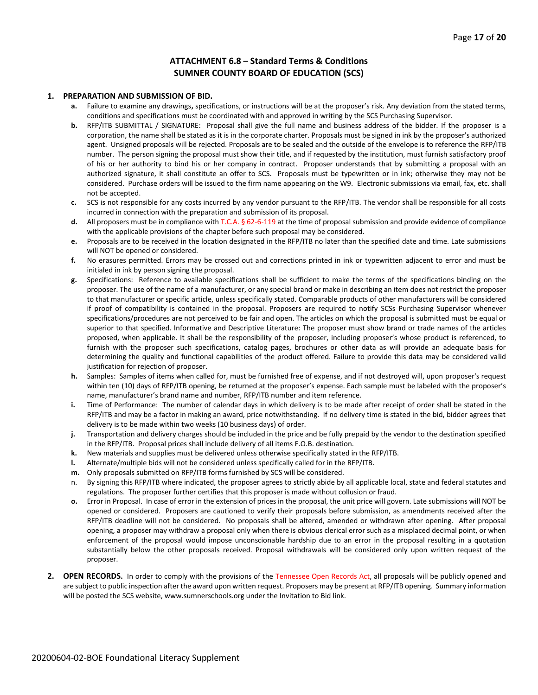#### **ATTACHMENT 6.8 – Standard Terms & Conditions SUMNER COUNTY BOARD OF EDUCATION (SCS)**

#### **1. PREPARATION AND SUBMISSION OF BID.**

- **a.** Failure to examine any drawings**,** specifications, or instructions will be at the proposer's risk. Any deviation from the stated terms, conditions and specifications must be coordinated with and approved in writing by the SCS Purchasing Supervisor.
- **b.** RFP/ITB SUBMITTAL / SIGNATURE: Proposal shall give the full name and business address of the bidder. If the proposer is a corporation, the name shall be stated as it is in the corporate charter. Proposals must be signed in ink by the proposer's authorized agent. Unsigned proposals will be rejected. Proposals are to be sealed and the outside of the envelope is to reference the RFP/ITB number. The person signing the proposal must show their title, and if requested by the institution, must furnish satisfactory proof of his or her authority to bind his or her company in contract. Proposer understands that by submitting a proposal with an authorized signature, it shall constitute an offer to SCS. Proposals must be typewritten or in ink; otherwise they may not be considered. Purchase orders will be issued to the firm name appearing on the W9. Electronic submissions via email, fax, etc. shall not be accepted.
- **c.** SCS is not responsible for any costs incurred by any vendor pursuant to the RFP/ITB. The vendor shall be responsible for all costs incurred in connection with the preparation and submission of its proposal.
- **d.** All proposers must be in compliance with T.C.A. § 62-6-119 at the time of proposal submission and provide evidence of compliance with the applicable provisions of the chapter before such proposal may be considered.
- **e.** Proposals are to be received in the location designated in the RFP/ITB no later than the specified date and time. Late submissions will NOT be opened or considered.
- **f.** No erasures permitted. Errors may be crossed out and corrections printed in ink or typewritten adjacent to error and must be initialed in ink by person signing the proposal.
- **g.** Specifications: Reference to available specifications shall be sufficient to make the terms of the specifications binding on the proposer. The use of the name of a manufacturer, or any special brand or make in describing an item does not restrict the proposer to that manufacturer or specific article, unless specifically stated. Comparable products of other manufacturers will be considered if proof of compatibility is contained in the proposal. Proposers are required to notify SCSs Purchasing Supervisor whenever specifications/procedures are not perceived to be fair and open. The articles on which the proposal is submitted must be equal or superior to that specified. Informative and Descriptive Literature: The proposer must show brand or trade names of the articles proposed, when applicable. It shall be the responsibility of the proposer, including proposer's whose product is referenced, to furnish with the proposer such specifications, catalog pages, brochures or other data as will provide an adequate basis for determining the quality and functional capabilities of the product offered. Failure to provide this data may be considered valid justification for rejection of proposer.
- **h.** Samples: Samples of items when called for, must be furnished free of expense, and if not destroyed will, upon proposer's request within ten (10) days of RFP/ITB opening, be returned at the proposer's expense. Each sample must be labeled with the proposer's name, manufacturer's brand name and number, RFP/ITB number and item reference.
- **i.** Time of Performance: The number of calendar days in which delivery is to be made after receipt of order shall be stated in the RFP/ITB and may be a factor in making an award, price notwithstanding. If no delivery time is stated in the bid, bidder agrees that delivery is to be made within two weeks (10 business days) of order.
- **j.** Transportation and delivery charges should be included in the price and be fully prepaid by the vendor to the destination specified in the RFP/ITB. Proposal prices shall include delivery of all items F.O.B. destination.
- **k.** New materials and supplies must be delivered unless otherwise specifically stated in the RFP/ITB.
- **l.** Alternate/multiple bids will not be considered unless specifically called for in the RFP/ITB.
- **m.** Only proposals submitted on RFP/ITB forms furnished by SCS will be considered.
- n. By signing this RFP/ITB where indicated, the proposer agrees to strictly abide by all applicable local, state and federal statutes and regulations. The proposer further certifies that this proposer is made without collusion or fraud.
- **o.** Error in Proposal. In case of error in the extension of prices in the proposal, the unit price will govern. Late submissions will NOT be opened or considered. Proposers are cautioned to verify their proposals before submission, as amendments received after the RFP/ITB deadline will not be considered. No proposals shall be altered, amended or withdrawn after opening. After proposal opening, a proposer may withdraw a proposal only when there is obvious clerical error such as a misplaced decimal point, or when enforcement of the proposal would impose unconscionable hardship due to an error in the proposal resulting in a quotation substantially below the other proposals received. Proposal withdrawals will be considered only upon written request of the proposer.
- **2. OPEN RECORDS.** In order to comply with the provisions of the Tennessee Open Records Act, all proposals will be publicly opened and are subject to public inspection after the award upon written request. Proposers may be present at RFP/ITB opening. Summary information will be posted the SCS website, www.sumnerschools.org under the Invitation to Bid link.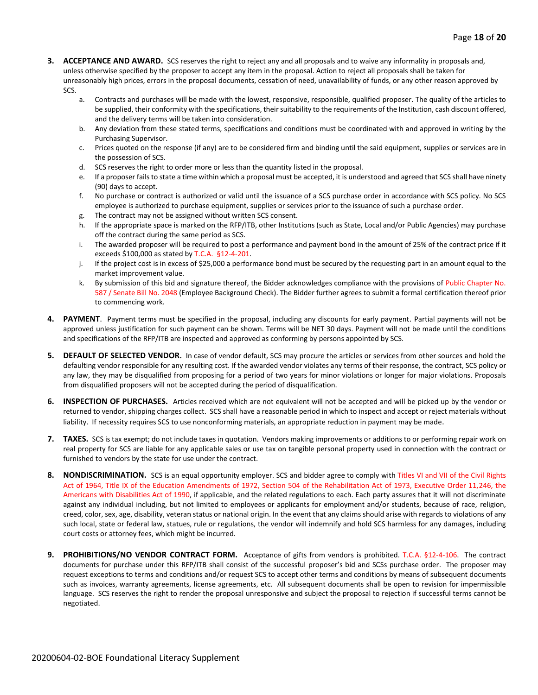- **3. ACCEPTANCE AND AWARD.** SCS reserves the right to reject any and all proposals and to waive any informality in proposals and, unless otherwise specified by the proposer to accept any item in the proposal. Action to reject all proposals shall be taken for unreasonably high prices, errors in the proposal documents, cessation of need, unavailability of funds, or any other reason approved by SCS.
	- a. Contracts and purchases will be made with the lowest, responsive, responsible, qualified proposer. The quality of the articles to be supplied, their conformity with the specifications, their suitability to the requirements of the Institution, cash discount offered, and the delivery terms will be taken into consideration.
	- b. Any deviation from these stated terms, specifications and conditions must be coordinated with and approved in writing by the Purchasing Supervisor.
	- c. Prices quoted on the response (if any) are to be considered firm and binding until the said equipment, supplies or services are in the possession of SCS.
	- d. SCS reserves the right to order more or less than the quantity listed in the proposal.
	- e. If a proposer fails to state a time within which a proposal must be accepted, it is understood and agreed that SCS shall have ninety (90) days to accept.
	- f. No purchase or contract is authorized or valid until the issuance of a SCS purchase order in accordance with SCS policy. No SCS employee is authorized to purchase equipment, supplies or services prior to the issuance of such a purchase order.
	- g. The contract may not be assigned without written SCS consent.
	- h. If the appropriate space is marked on the RFP/ITB, other Institutions (such as State, Local and/or Public Agencies) may purchase off the contract during the same period as SCS.
	- i. The awarded proposer will be required to post a performance and payment bond in the amount of 25% of the contract price if it exceeds \$100,000 as stated by T.C.A. §12-4-201.
	- j. If the project cost is in excess of \$25,000 a performance bond must be secured by the requesting part in an amount equal to the market improvement value.
	- k. By submission of this bid and signature thereof, the Bidder acknowledges compliance with the provisions of Public Chapter No. 587 / Senate Bill No. 2048 (Employee Background Check). The Bidder further agrees to submit a formal certification thereof prior to commencing work.
- **4. PAYMENT**. Payment terms must be specified in the proposal, including any discounts for early payment. Partial payments will not be approved unless justification for such payment can be shown. Terms will be NET 30 days. Payment will not be made until the conditions and specifications of the RFP/ITB are inspected and approved as conforming by persons appointed by SCS.
- **5. DEFAULT OF SELECTED VENDOR.** In case of vendor default, SCS may procure the articles or services from other sources and hold the defaulting vendor responsible for any resulting cost. If the awarded vendor violates any terms of their response, the contract, SCS policy or any law, they may be disqualified from proposing for a period of two years for minor violations or longer for major violations. Proposals from disqualified proposers will not be accepted during the period of disqualification.
- **6. INSPECTION OF PURCHASES.** Articles received which are not equivalent will not be accepted and will be picked up by the vendor or returned to vendor, shipping charges collect. SCS shall have a reasonable period in which to inspect and accept or reject materials without liability. If necessity requires SCS to use nonconforming materials, an appropriate reduction in payment may be made.
- **7. TAXES.** SCS is tax exempt; do not include taxes in quotation. Vendors making improvements or additions to or performing repair work on real property for SCS are liable for any applicable sales or use tax on tangible personal property used in connection with the contract or furnished to vendors by the state for use under the contract.
- **8. NONDISCRIMINATION.** SCS is an equal opportunity employer. SCS and bidder agree to comply with Titles VI and VII of the Civil Rights Act of 1964, Title IX of the Education Amendments of 1972, Section 504 of the Rehabilitation Act of 1973, Executive Order 11,246, the Americans with Disabilities Act of 1990, if applicable, and the related regulations to each. Each party assures that it will not discriminate against any individual including, but not limited to employees or applicants for employment and/or students, because of race, religion, creed, color, sex, age, disability, veteran status or national origin. In the event that any claims should arise with regards to violations of any such local, state or federal law, statues, rule or regulations, the vendor will indemnify and hold SCS harmless for any damages, including court costs or attorney fees, which might be incurred.
- **9. PROHIBITIONS/NO VENDOR CONTRACT FORM.** Acceptance of gifts from vendors is prohibited. T.C.A. §12-4-106. The contract documents for purchase under this RFP/ITB shall consist of the successful proposer's bid and SCSs purchase order. The proposer may request exceptions to terms and conditions and/or request SCS to accept other terms and conditions by means of subsequent documents such as invoices, warranty agreements, license agreements, etc. All subsequent documents shall be open to revision for impermissible language. SCS reserves the right to render the proposal unresponsive and subject the proposal to rejection if successful terms cannot be negotiated.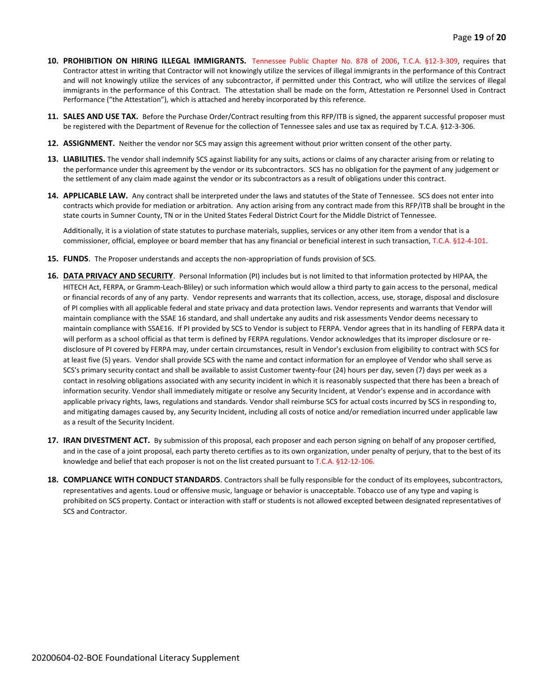- **10. PROHIBITION ON HIRING ILLEGAL IMMIGRANTS.** Tennessee Public Chapter No. 878 of 2006, T.C.A. §12-3-309, requires that Contractor attest in writing that Contractor will not knowingly utilize the services of illegal immigrants in the performance of this Contract and will not knowingly utilize the services of any subcontractor, if permitted under this Contract, who will utilize the services of illegal immigrants in the performance of this Contract. The attestation shall be made on the form, Attestation re Personnel Used in Contract Performance ("the Attestation"), which is attached and hereby incorporated by this reference.
- **11. SALES AND USE TAX.** Before the Purchase Order/Contract resulting from this RFP/ITB is signed, the apparent successful proposer must be registered with the Department of Revenue for the collection of Tennessee sales and use tax as required by T.C.A. §12-3-306.
- **12. ASSIGNMENT.** Neither the vendor nor SCS may assign this agreement without prior written consent of the other party.
- **13. LIABILITIES.** The vendor shall indemnify SCS against liability for any suits, actions or claims of any character arising from or relating to the performance under this agreement by the vendor or its subcontractors. SCS has no obligation for the payment of any judgement or the settlement of any claim made against the vendor or its subcontractors as a result of obligations under this contract.
- **14. APPLICABLE LAW.** Any contract shall be interpreted under the laws and statutes of the State of Tennessee. SCS does not enter into contracts which provide for mediation or arbitration. Any action arising from any contract made from this RFP/ITB shall be brought in the state courts in Sumner County, TN or in the United States Federal District Court for the Middle District of Tennessee.

Additionally, it is a violation of state statutes to purchase materials, supplies, services or any other item from a vendor that is a commissioner, official, employee or board member that has any financial or beneficial interest in such transaction, T.C.A. §12-4-101.

- **15. FUNDS**. The Proposer understands and accepts the non-appropriation of funds provision of SCS.
- **16. DATA PRIVACY AND SECURITY**. Personal Information (PI) includes but is not limited to that information protected by HIPAA, the HITECH Act, FERPA, or Gramm-Leach-Bliley) or such information which would allow a third party to gain access to the personal, medical or financial records of any of any party. Vendor represents and warrants that its collection, access, use, storage, disposal and disclosure of PI complies with all applicable federal and state privacy and data protection laws. Vendor represents and warrants that Vendor will maintain compliance with the SSAE 16 standard, and shall undertake any audits and risk assessments Vendor deems necessary to maintain compliance with SSAE16. If PI provided by SCS to Vendor is subject to FERPA. Vendor agrees that in its handling of FERPA data it will perform as a school official as that term is defined by FERPA regulations. Vendor acknowledges that its improper disclosure or redisclosure of PI covered by FERPA may, under certain circumstances, result in Vendor's exclusion from eligibility to contract with SCS for at least five (5) years. Vendor shall provide SCS with the name and contact information for an employee of Vendor who shall serve as SCS's primary security contact and shall be available to assist Customer twenty-four (24) hours per day, seven (7) days per week as a contact in resolving obligations associated with any security incident in which it is reasonably suspected that there has been a breach of information security. Vendor shall immediately mitigate or resolve any Security Incident, at Vendor's expense and in accordance with applicable privacy rights, laws, regulations and standards. Vendor shall reimburse SCS for actual costs incurred by SCS in responding to, and mitigating damages caused by, any Security Incident, including all costs of notice and/or remediation incurred under applicable law as a result of the Security Incident.
- **17. IRAN DIVESTMENT ACT.** By submission of this proposal, each proposer and each person signing on behalf of any proposer certified, and in the case of a joint proposal, each party thereto certifies as to its own organization, under penalty of perjury, that to the best of its knowledge and belief that each proposer is not on the list created pursuant to T.C.A. §12-12-106.
- **18. COMPLIANCE WITH CONDUCT STANDARDS**. Contractors shall be fully responsible for the conduct of its employees, subcontractors, representatives and agents. Loud or offensive music, language or behavior is unacceptable. Tobacco use of any type and vaping is prohibited on SCS property. Contact or interaction with staff or students is not allowed excepted between designated representatives of SCS and Contractor.